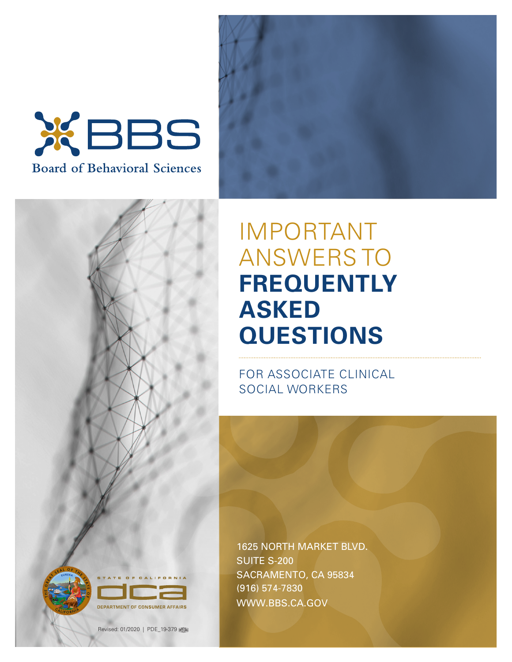







FOR ASSOCIATE CLINICAL SOCIAL WORKERS

1625 NORTH MARKET BLVD. SUITE S-200 SACRAMENTO, CA 95834 (916) 574-7830 <WWW.BBS.CA.GOV>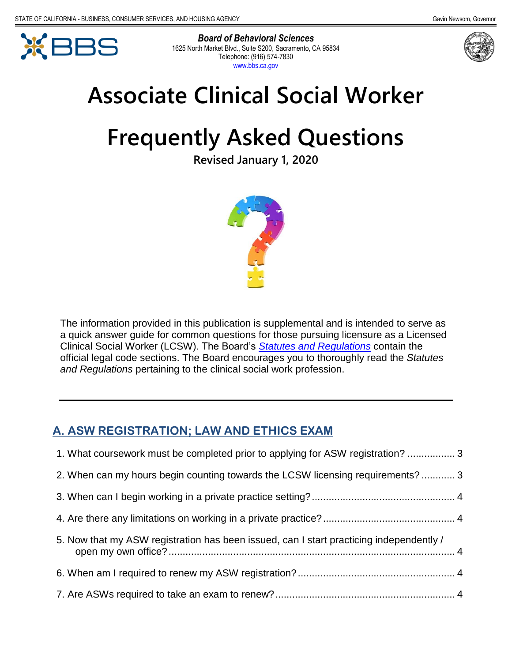



*Board of Behavioral Sciences*  1625 North Market Blvd., Suite S200, Sacramento, CA 95834 Telephone: (916) 574-7830 [www.bbs.ca.gov](http://www.bbs.ca.gov/) 



# **Associate Clinical Social Worker**

# **Frequently Asked Questions**

**Revised January 1, 2020** 



 The information provided in this publication is supplemental and is intended to serve as a quick answer guide for common questions for those pursuing licensure as a Licensed Clinical Social Worker (LCSW). The Board's *[Statutes and Regulations](https://www.bbs.ca.gov/pdf/publications/lawsregs.pdf)* contain the official legal code sections. The Board encourages you to thoroughly read the *Statutes and Regulations* pertaining to the clinical social work profession.

# **A. ASW REGISTRATION; LAW AND ETHICS EXAM**

| 1. What coursework must be completed prior to applying for ASW registration?  3         |  |
|-----------------------------------------------------------------------------------------|--|
| 2. When can my hours begin counting towards the LCSW licensing requirements? 3          |  |
|                                                                                         |  |
|                                                                                         |  |
| 5. Now that my ASW registration has been issued, can I start practicing independently / |  |
|                                                                                         |  |
|                                                                                         |  |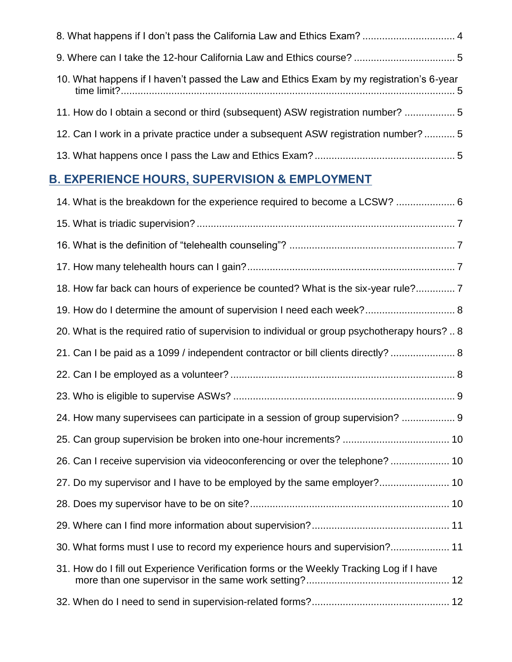| 8. What happens if I don't pass the California Law and Ethics Exam?  4                   |
|------------------------------------------------------------------------------------------|
|                                                                                          |
| 10. What happens if I haven't passed the Law and Ethics Exam by my registration's 6-year |
| 11. How do I obtain a second or third (subsequent) ASW registration number? 5            |
| 12. Can I work in a private practice under a subsequent ASW registration number? 5       |
|                                                                                          |

# **B. EXPERIENCE HOURS, SUPERVISION & EMPLOYMENT**

| 14. What is the breakdown for the experience required to become a LCSW?  6                   |
|----------------------------------------------------------------------------------------------|
|                                                                                              |
|                                                                                              |
|                                                                                              |
| 18. How far back can hours of experience be counted? What is the six-year rule? 7            |
| 19. How do I determine the amount of supervision I need each week? 8                         |
| 20. What is the required ratio of supervision to individual or group psychotherapy hours?  8 |
| 21. Can I be paid as a 1099 / independent contractor or bill clients directly?  8            |
|                                                                                              |
|                                                                                              |
| 24. How many supervisees can participate in a session of group supervision?  9               |
|                                                                                              |
| 26. Can I receive supervision via videoconferencing or over the telephone?  10               |
| 27. Do my supervisor and I have to be employed by the same employer? 10                      |
|                                                                                              |
|                                                                                              |
| 30. What forms must I use to record my experience hours and supervision? 11                  |
| 31. How do I fill out Experience Verification forms or the Weekly Tracking Log if I have     |
|                                                                                              |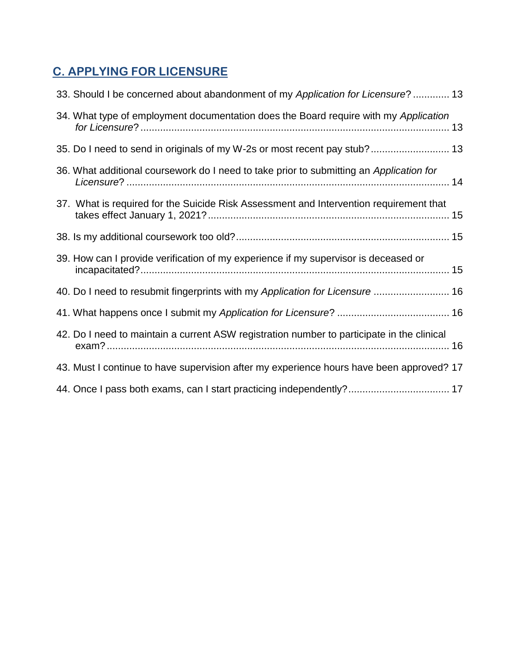# **C. APPLYING FOR LICENSURE**

| 33. Should I be concerned about abandonment of my Application for Licensure?  13           |  |
|--------------------------------------------------------------------------------------------|--|
| 34. What type of employment documentation does the Board require with my Application       |  |
| 35. Do I need to send in originals of my W-2s or most recent pay stub? 13                  |  |
| 36. What additional coursework do I need to take prior to submitting an Application for    |  |
| 37. What is required for the Suicide Risk Assessment and Intervention requirement that     |  |
|                                                                                            |  |
| 39. How can I provide verification of my experience if my supervisor is deceased or        |  |
| 40. Do I need to resubmit fingerprints with my Application for Licensure  16               |  |
|                                                                                            |  |
| 42. Do I need to maintain a current ASW registration number to participate in the clinical |  |
| 43. Must I continue to have supervision after my experience hours have been approved? 17   |  |
| 44. Once I pass both exams, can I start practicing independently? 17                       |  |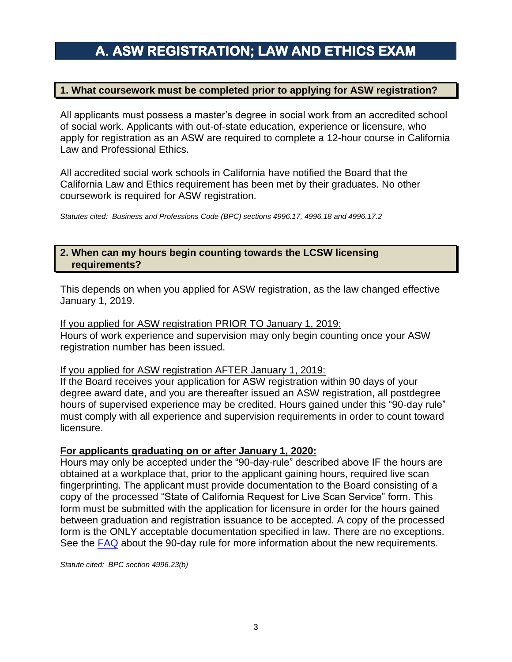# **A. ASW REGISTRATION; LAW AND ETHICS EXAM**

# <span id="page-4-0"></span>**1. What coursework must be completed prior to applying for ASW registration?**

 apply for registration as an ASW are required to complete a 12-hour course in California All applicants must possess a master's degree in social work from an accredited school of social work. Applicants with out-of-state education, experience or licensure, who Law and Professional Ethics.

All accredited social work schools in California have notified the Board that the California Law and Ethics requirement has been met by their graduates. No other coursework is required for ASW registration.

*Statutes cited: Business and Professions Code (BPC) sections 4996.17, 4996.18 and 4996.17.2* 

## <span id="page-4-1"></span>**2. When can my hours begin counting towards the LCSW licensing requirements?**

 This depends on when you applied for ASW registration, as the law changed effective January 1, 2019.

#### If you applied for ASW registration PRIOR TO January 1, 2019:

Hours of work experience and supervision may only begin counting once your ASW registration number has been issued.

#### If you applied for ASW registration AFTER January 1, 2019:

 degree award date, and you are thereafter issued an ASW registration, all postdegree If the Board receives your application for ASW registration within 90 days of your hours of supervised experience may be credited. Hours gained under this "90-day rule" must comply with all experience and supervision requirements in order to count toward licensure.

## **For applicants graduating on or after January 1, 2020:**

 obtained at a workplace that, prior to the applicant gaining hours, required live scan between graduation and registration issuance to be accepted. A copy of the processed Hours may only be accepted under the "90-day-rule" described above IF the hours are fingerprinting. The applicant must provide documentation to the Board consisting of a copy of the processed "State of California Request for Live Scan Service" form. This form must be submitted with the application for licensure in order for the hours gained form is the ONLY acceptable documentation specified in law. There are no exceptions. See the [FAQ](https://www.bbs.ca.gov/pdf/90day_rule.pdf) about the 90-day rule for more information about the new requirements.

*Statute cited: BPC section 4996.23(b)*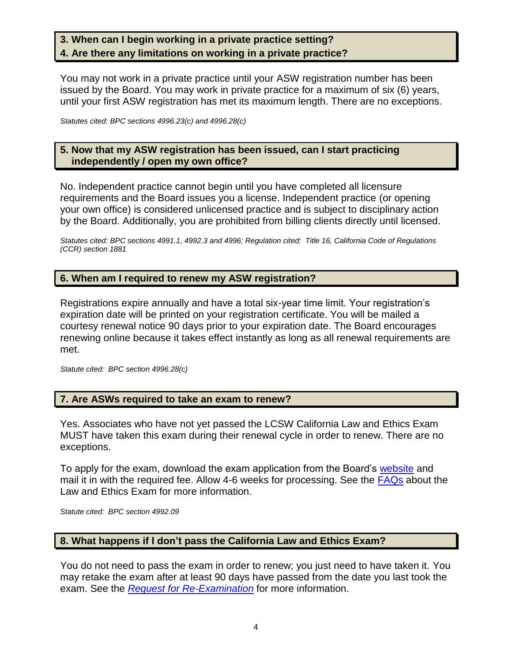# <span id="page-5-1"></span><span id="page-5-0"></span>**3. When can I begin working in a private practice setting? 4. Are there any limitations on working in a private practice?**

You may not work in a private practice until your ASW registration number has been issued by the Board. You may work in private practice for a maximum of six (6) years, until your first ASW registration has met its maximum length. There are no exceptions.

*Statutes cited: BPC sections 4996.23(c) and 4996.28(c)* 

#### <span id="page-5-2"></span> **5. Now that my ASW registration has been issued, can I start practicing independently / open my own office?**

 your own office) is considered unlicensed practice and is subject to disciplinary action No. Independent practice cannot begin until you have completed all licensure requirements and the Board issues you a license. Independent practice (or opening by the Board. Additionally, you are prohibited from billing clients directly until licensed.

 *Statutes cited: BPC sections 4991.1, 4992.3 and 4996; Regulation cited: Title 16, California Code of Regulations (CCR) section 1881* 

# <span id="page-5-3"></span>**6. When am I required to renew my ASW registration?**

 expiration date will be printed on your registration certificate. You will be mailed a Registrations expire annually and have a total six-year time limit. Your registration's courtesy renewal notice 90 days prior to your expiration date. The Board encourages renewing online because it takes effect instantly as long as all renewal requirements are met.

*Statute cited: BPC section 4996.28(c)* 

## <span id="page-5-4"></span>**7. Are ASWs required to take an exam to renew?**

 Yes. Associates who have not yet passed the LCSW California Law and Ethics Exam MUST have taken this exam during their renewal cycle in order to renew. There are no exceptions.

To apply for the exam, download the exam application from the Board's <u>website</u> and mail it in with the required fee. Allow 4-6 weeks for processing. See the [FAQs](https://www.bbs.ca.gov/pdf/publications/law_ethics_faq.pdf) about the Law and Ethics Exam for more information.

*Statute cited: BPC section 4992.09* 

## <span id="page-5-5"></span>**8. What happens if I don't pass the California Law and Ethics Exam?**

 You do not need to pass the exam in order to renew; you just need to have taken it. You may retake the exam after at least 90 days have passed from the date you last took the exam. See the *[Request for Re-Examination](https://www.bbs.ca.gov/exams/re_exam_acknowledge.html)* for more information.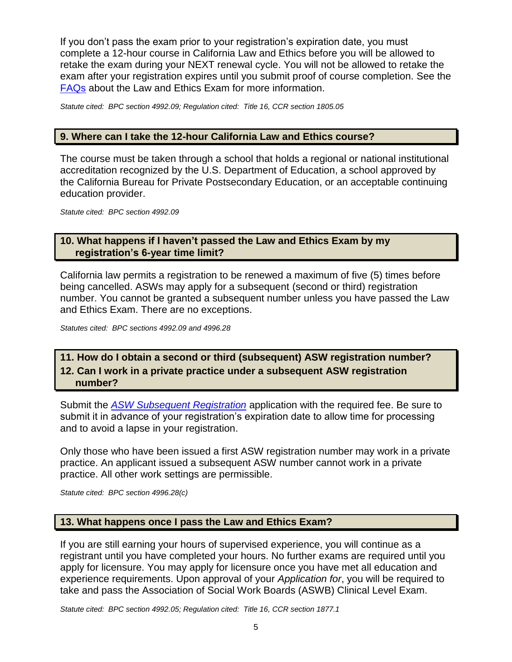If you don't pass the exam prior to your registration's expiration date, you must complete a 12-hour course in California Law and Ethics before you will be allowed to retake the exam during your NEXT renewal cycle. You will not be allowed to retake the exam after your registration expires until you submit proof of course completion. See the [FAQs](https://www.bbs.ca.gov/pdf/publications/law_ethics_faq.pdf) about the Law and Ethics Exam for more information.

*Statute cited: BPC section 4992.09; Regulation cited: Title 16, CCR section 1805.05* 

# <span id="page-6-0"></span>**9. Where can I take the 12-hour California Law and Ethics course?**

 accreditation recognized by the U.S. Department of Education, a school approved by The course must be taken through a school that holds a regional or national institutional the California Bureau for Private Postsecondary Education, or an acceptable continuing education provider.

*Statute cited: BPC section 4992.09* 

# <span id="page-6-1"></span> **10. What happens if I haven't passed the Law and Ethics Exam by my registration's 6-year time limit?**

California law permits a registration to be renewed a maximum of five (5) times before being cancelled. ASWs may apply for a subsequent (second or third) registration number. You cannot be granted a subsequent number unless you have passed the Law and Ethics Exam. There are no exceptions.

*Statutes cited: BPC sections 4992.09 and 4996.28* 

# <span id="page-6-3"></span><span id="page-6-2"></span>**11. How do I obtain a second or third (subsequent) ASW registration number? 12. Can I work in a private practice under a subsequent ASW registration**

**number?** 

 submit it in advance of your registration's expiration date to allow time for processing Submit the *[ASW Subsequent Registration](https://www.bbs.ca.gov/pdf/forms/lcs/aswapp_2reg.pdf)* application with the required fee. Be sure to and to avoid a lapse in your registration.

 Only those who have been issued a first ASW registration number may work in a private practice. An applicant issued a subsequent ASW number cannot work in a private practice. All other work settings are permissible.

*Statute cited: BPC section 4996.28(c)* 

# <span id="page-6-4"></span>**13. What happens once I pass the Law and Ethics Exam?**

 If you are still earning your hours of supervised experience, you will continue as a registrant until you have completed your hours. No further exams are required until you apply for licensure. You may apply for licensure once you have met all education and experience requirements. Upon approval of your *Application for*, you will be required to take and pass the Association of Social Work Boards (ASWB) Clinical Level Exam.

*Statute cited: BPC section 4992.05; Regulation cited: Title 16, CCR section 1877.1*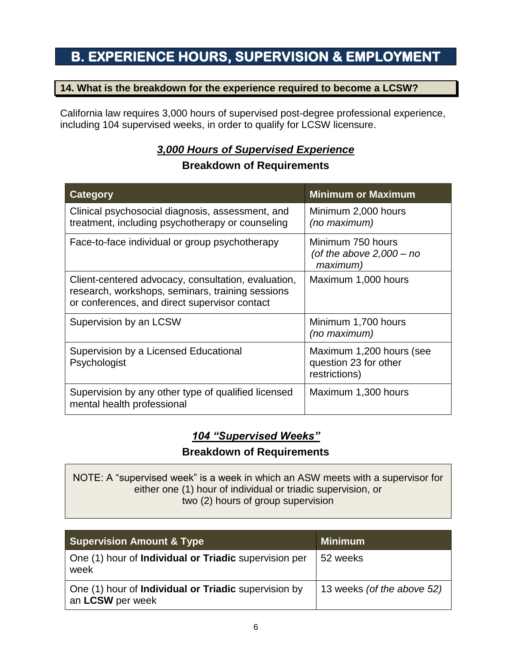# **B. EXPERIENCE HOURS, SUPERVISION & EMPLOYMENT**

# <span id="page-7-0"></span>**14. What is the breakdown for the experience required to become a LCSW?**

California law requires 3,000 hours of supervised post-degree professional experience, including 104 supervised weeks, in order to qualify for LCSW licensure.

# *3,000 Hours of Supervised Experience*  **Breakdown of Requirements**

| Category                                                                                                                                                 | <b>Minimum or Maximum</b>                                          |
|----------------------------------------------------------------------------------------------------------------------------------------------------------|--------------------------------------------------------------------|
| Clinical psychosocial diagnosis, assessment, and<br>treatment, including psychotherapy or counseling                                                     | Minimum 2,000 hours<br>(no maximum)                                |
| Face-to-face individual or group psychotherapy                                                                                                           | Minimum 750 hours<br>(of the above $2,000 - no$<br>maximum)        |
| Client-centered advocacy, consultation, evaluation,<br>research, workshops, seminars, training sessions<br>or conferences, and direct supervisor contact | Maximum 1,000 hours                                                |
| Supervision by an LCSW                                                                                                                                   | Minimum 1,700 hours<br>(no maximum)                                |
| Supervision by a Licensed Educational<br>Psychologist                                                                                                    | Maximum 1,200 hours (see<br>question 23 for other<br>restrictions) |
| Supervision by any other type of qualified licensed<br>mental health professional                                                                        | Maximum 1,300 hours                                                |

# *104 "Supervised Weeks"*

# **Breakdown of Requirements**

NOTE: A "supervised week" is a week in which an ASW meets with a supervisor for either one (1) hour of individual or triadic supervision, or two (2) hours of group supervision

| <b>Supervision Amount &amp; Type</b>                                            | <b>Minimum</b>             |  |  |
|---------------------------------------------------------------------------------|----------------------------|--|--|
| One (1) hour of <b>Individual or Triadic</b> supervision per<br>week            | 52 weeks                   |  |  |
| One (1) hour of <b>Individual or Triadic</b> supervision by<br>an LCSW per week | 13 weeks (of the above 52) |  |  |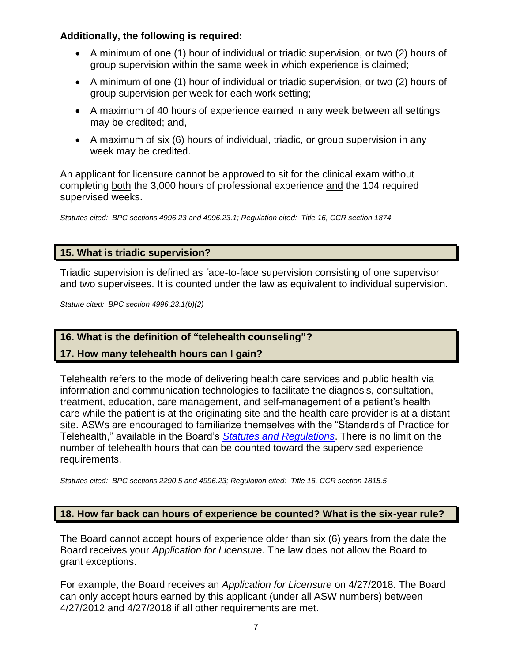# **Additionally, the following is required:**

- A minimum of one (1) hour of individual or triadic supervision, or two (2) hours of group supervision within the same week in which experience is claimed;
- A minimum of one (1) hour of individual or triadic supervision, or two (2) hours of group supervision per week for each work setting;
- • A maximum of 40 hours of experience earned in any week between all settings may be credited; and,
- A maximum of six (6) hours of individual, triadic, or group supervision in any week may be credited.

 An applicant for licensure cannot be approved to sit for the clinical exam without completing both the 3,000 hours of professional experience and the 104 required supervised weeks.

*Statutes cited: BPC sections 4996.23 and 4996.23.1; Regulation cited: Title 16, CCR section 1874* 

# <span id="page-8-0"></span>**15. What is triadic supervision?**

Triadic supervision is defined as face-to-face supervision consisting of one supervisor and two supervisees. It is counted under the law as equivalent to individual supervision.

*Statute cited: BPC section 4996.23.1(b)(2)* 

# <span id="page-8-1"></span>**16. What is the definition of "telehealth counseling"?**

# <span id="page-8-2"></span>**17. How many telehealth hours can I gain?**

 treatment, education, care management, and self-management of a patient's health Telehealth refers to the mode of delivering health care services and public health via information and communication technologies to facilitate the diagnosis, consultation, care while the patient is at the originating site and the health care provider is at a distant site. ASWs are encouraged to familiarize themselves with the "Standards of Practice for Telehealth," available in the Board's *[Statutes and Regulations](https://www.bbs.ca.gov/pdf/publications/lawsregs.pdf)*. There is no limit on the number of telehealth hours that can be counted toward the supervised experience requirements.

*Statutes cited: BPC sections 2290.5 and 4996.23; Regulation cited: Title 16, CCR section 1815.5* 

# <span id="page-8-3"></span>**18. How far back can hours of experience be counted? What is the six-year rule?**

 The Board cannot accept hours of experience older than six (6) years from the date the Board receives your *Application for Licensure*. The law does not allow the Board to grant exceptions.

 For example, the Board receives an *Application for Licensure* on 4/27/2018. The Board can only accept hours earned by this applicant (under all ASW numbers) between 4/27/2012 and 4/27/2018 if all other requirements are met.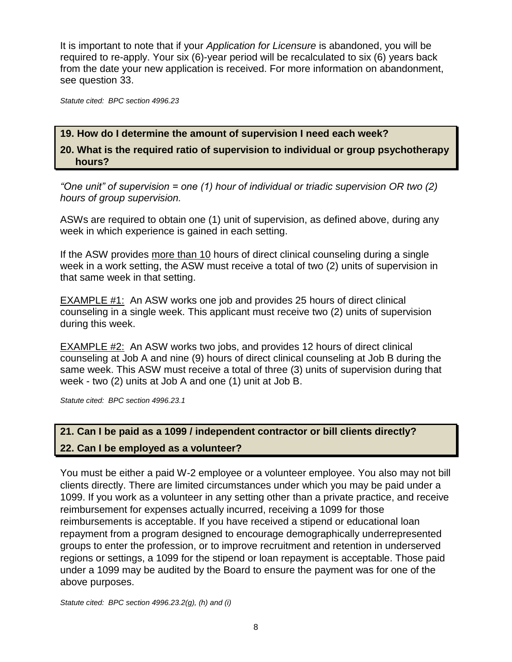It is important to note that if your *Application for Licensure* is abandoned, you will be required to re-apply. Your six (6)-year period will be recalculated to six (6) years back from the date your new application is received. For more information on abandonment, see question 33.

*Statute cited: BPC section 4996.23* 

## <span id="page-9-0"></span>**19. How do I determine the amount of supervision I need each week?**

<span id="page-9-1"></span>**20. What is the required ratio of supervision to individual or group psychotherapy hours?** 

*"One unit" of supervision = one (1) hour of individual or triadic supervision OR two (2) hours of group supervision.* 

 ASWs are required to obtain one (1) unit of supervision, as defined above, during any week in which experience is gained in each setting.

 week in a work setting, the ASW must receive a total of two (2) units of supervision in If the ASW provides more than 10 hours of direct clinical counseling during a single that same week in that setting.

EXAMPLE #1: An ASW works one job and provides 25 hours of direct clinical counseling in a single week. This applicant must receive two (2) units of supervision during this week.

**EXAMPLE #2:** An ASW works two jobs, and provides 12 hours of direct clinical counseling at Job A and nine (9) hours of direct clinical counseling at Job B during the same week. This ASW must receive a total of three (3) units of supervision during that week - two (2) units at Job A and one (1) unit at Job B.

*Statute cited: BPC section 4996.23.1* 

# <span id="page-9-3"></span><span id="page-9-2"></span>**21. Can I be paid as a 1099 / independent contractor or bill clients directly? 22. Can I be employed as a volunteer?**

 1099. If you work as a volunteer in any setting other than a private practice, and receive under a 1099 may be audited by the Board to ensure the payment was for one of the You must be either a paid W-2 employee or a volunteer employee. You also may not bill clients directly. There are limited circumstances under which you may be paid under a reimbursement for expenses actually incurred, receiving a 1099 for those reimbursements is acceptable. If you have received a stipend or educational loan repayment from a program designed to encourage demographically underrepresented groups to enter the profession, or to improve recruitment and retention in underserved regions or settings, a 1099 for the stipend or loan repayment is acceptable. Those paid above purposes.

*Statute cited: BPC section 4996.23.2(g), (h) and (i)*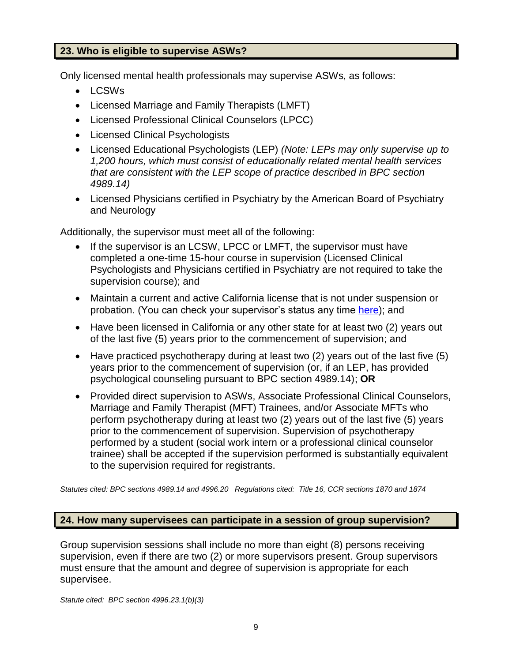# <span id="page-10-0"></span>**23. Who is eligible to supervise ASWs?**

Only licensed mental health professionals may supervise ASWs, as follows:

- LCSWs
- Licensed Marriage and Family Therapists (LMFT)
- Licensed Professional Clinical Counselors (LPCC)
- Licensed Clinical Psychologists
- Licensed Educational Psychologists (LEP) *(Note: LEPs may only supervise up to 1,200 hours, which must consist of educationally related mental health services that are consistent with the LEP scope of practice described in BPC section 4989.14)*
- Licensed Physicians certified in Psychiatry by the American Board of Psychiatry and Neurology

Additionally, the supervisor must meet all of the following:

- • If the supervisor is an LCSW, LPCC or LMFT, the supervisor must have Psychologists and Physicians certified in Psychiatry are not required to take the completed a one-time 15-hour course in supervision (Licensed Clinical supervision course); and
- Maintain a current and active California license that is not under suspension or probation. (You can check your supervisor's status any time [here\)](https://search.dca.ca.gov/); and
- Have been licensed in California or any other state for at least two (2) years out of the last five (5) years prior to the commencement of supervision; and
- years prior to the commencement of supervision (or, if an LEP, has provided • Have practiced psychotherapy during at least two (2) years out of the last five (5) psychological counseling pursuant to BPC section 4989.14); **OR**
- Provided direct supervision to ASWs, Associate Professional Clinical Counselors, Marriage and Family Therapist (MFT) Trainees, and/or Associate MFTs who perform psychotherapy during at least two (2) years out of the last five (5) years prior to the commencement of supervision. Supervision of psychotherapy performed by a student (social work intern or a professional clinical counselor trainee) shall be accepted if the supervision performed is substantially equivalent to the supervision required for registrants.

 *Statutes cited: BPC sections 4989.14 and 4996.20 Regulations cited: Title 16, CCR sections 1870 and 1874* 

# <span id="page-10-1"></span>**24. How many supervisees can participate in a session of group supervision?**

 must ensure that the amount and degree of supervision is appropriate for each Group supervision sessions shall include no more than eight (8) persons receiving supervision, even if there are two (2) or more supervisors present. Group supervisors supervisee.

*Statute cited: BPC section 4996.23.1(b)(3)*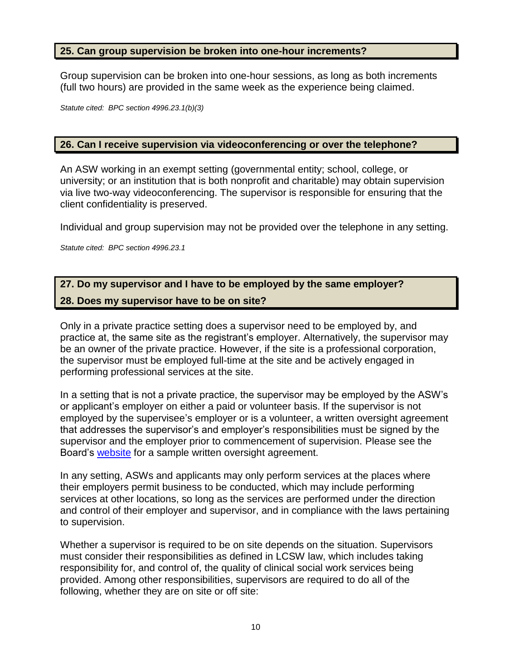#### <span id="page-11-0"></span>**25. Can group supervision be broken into one-hour increments?**

 Group supervision can be broken into one-hour sessions, as long as both increments (full two hours) are provided in the same week as the experience being claimed.

*Statute cited: BPC section 4996.23.1(b)(3)* 

#### <span id="page-11-1"></span>**26. Can I receive supervision via videoconferencing or over the telephone?**

An ASW working in an exempt setting (governmental entity; school, college, or university; or an institution that is both nonprofit and charitable) may obtain supervision via live two-way videoconferencing. The supervisor is responsible for ensuring that the client confidentiality is preserved.

Individual and group supervision may not be provided over the telephone in any setting.

*Statute cited: BPC section 4996.23.1* 

# <span id="page-11-3"></span><span id="page-11-2"></span> **27. Do my supervisor and I have to be employed by the same employer? 28. Does my supervisor have to be on site?**

 Only in a private practice setting does a supervisor need to be employed by, and practice at, the same site as the registrant's employer. Alternatively, the supervisor may be an owner of the private practice. However, if the site is a professional corporation, the supervisor must be employed full-time at the site and be actively engaged in performing professional services at the site.

In a setting that is not a private practice, the supervisor may be employed by the ASW's or applicant's employer on either a paid or volunteer basis. If the supervisor is not employed by the supervisee's employer or is a volunteer, a written oversight agreement that addresses the supervisor's and employer's responsibilities must be signed by the supervisor and the employer prior to commencement of supervision. Please see the Board's [website](https://www.bbs.ca.gov/applicants/) for a sample written oversight agreement.

 their employers permit business to be conducted, which may include performing In any setting, ASWs and applicants may only perform services at the places where services at other locations, so long as the services are performed under the direction and control of their employer and supervisor, and in compliance with the laws pertaining to supervision.

Whether a supervisor is required to be on site depends on the situation. Supervisors must consider their responsibilities as defined in LCSW law, which includes taking responsibility for, and control of, the quality of clinical social work services being provided. Among other responsibilities, supervisors are required to do all of the following, whether they are on site or off site: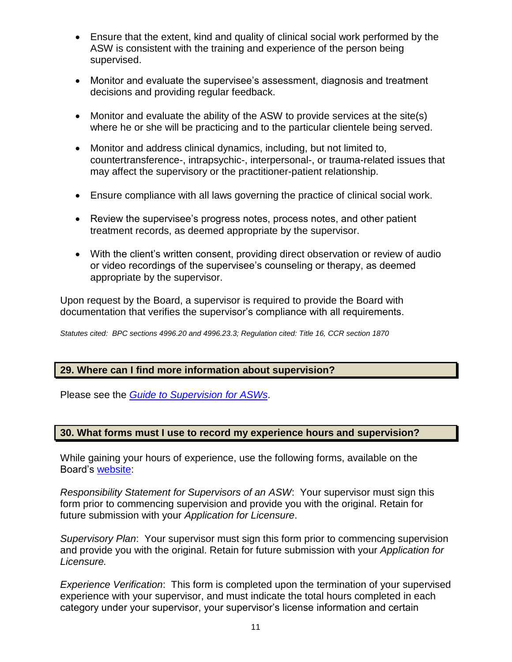- ASW is consistent with the training and experience of the person being • Ensure that the extent, kind and quality of clinical social work performed by the supervised.
- Monitor and evaluate the supervisee's assessment, diagnosis and treatment decisions and providing regular feedback.
- • Monitor and evaluate the ability of the ASW to provide services at the site(s) where he or she will be practicing and to the particular clientele being served.
- Monitor and address clinical dynamics, including, but not limited to, countertransference-, intrapsychic-, interpersonal-, or trauma-related issues that may affect the supervisory or the practitioner-patient relationship.
- Ensure compliance with all laws governing the practice of clinical social work.
- Review the supervisee's progress notes, process notes, and other patient treatment records, as deemed appropriate by the supervisor.
- • With the client's written consent, providing direct observation or review of audio or video recordings of the supervisee's counseling or therapy, as deemed appropriate by the supervisor.

 Upon request by the Board, a supervisor is required to provide the Board with documentation that verifies the supervisor's compliance with all requirements.

*Statutes cited: BPC sections 4996.20 and 4996.23.3; Regulation cited: Title 16, CCR section 1870* 

## <span id="page-12-0"></span>**29. Where can I find more information about supervision?**

Please see the *[Guide to Supervision for ASWs](https://www.bbs.ca.gov/pdf/publications/asw_supervision_brochure.pdf)*.

# <span id="page-12-1"></span>**30. What forms must I use to record my experience hours and supervision?**

While gaining your hours of experience, use the following forms, available on the Board's [website:](https://www.bbs.ca.gov/applicants/)

*Responsibility Statement for Supervisors of an ASW*: Your supervisor must sign this form prior to commencing supervision and provide you with the original. Retain for future submission with your *Application for Licensure*.

*Supervisory Plan*: Your supervisor must sign this form prior to commencing supervision and provide you with the original. Retain for future submission with your *Application for Licensure.* 

 experience with your supervisor, and must indicate the total hours completed in each *Experience Verification*: This form is completed upon the termination of your supervised category under your supervisor, your supervisor's license information and certain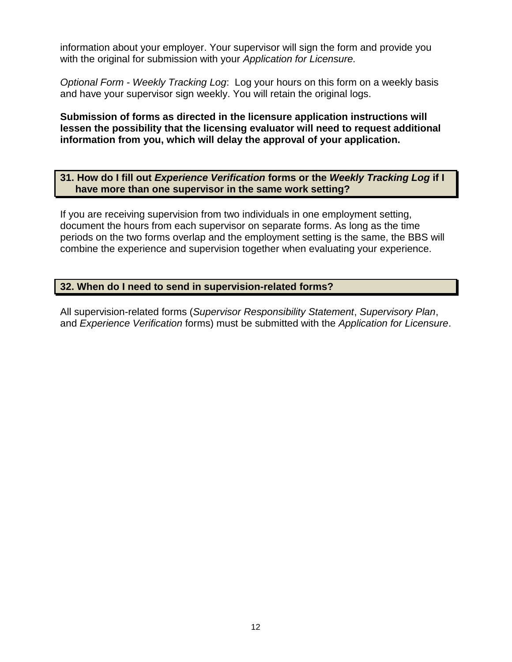information about your employer. Your supervisor will sign the form and provide you with the original for submission with your *Application for Licensure.* 

 *Optional Form - Weekly Tracking Log*: Log your hours on this form on a weekly basis and have your supervisor sign weekly. You will retain the original logs.

**Submission of forms as directed in the licensure application instructions will lessen the possibility that the licensing evaluator will need to request additional information from you, which will delay the approval of your application.** 

<span id="page-13-0"></span> **have more than one supervisor in the same work setting? 31. How do I fill out** *Experience Verification* **forms or the** *Weekly Tracking Log* **if I** 

 document the hours from each supervisor on separate forms. As long as the time If you are receiving supervision from two individuals in one employment setting, periods on the two forms overlap and the employment setting is the same, the BBS will combine the experience and supervision together when evaluating your experience.

# <span id="page-13-1"></span>**32. When do I need to send in supervision-related forms?**

All supervision-related forms (*Supervisor Responsibility Statement*, *Supervisory Plan*, and *Experience Verification* forms) must be submitted with the *Application for Licensure*.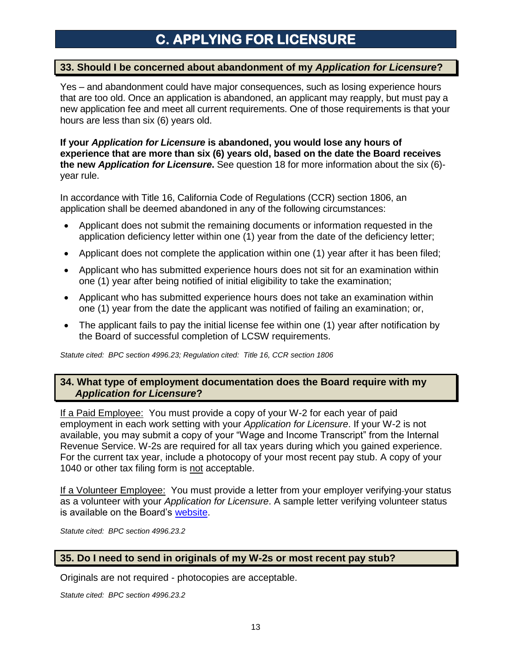# **C. APPLYING FOR LICENSURE**

#### <span id="page-14-0"></span>**33. Should I be concerned about abandonment of my** *Application for Licensure***?**

 Yes – and abandonment could have major consequences, such as losing experience hours that are too old. Once an application is abandoned, an applicant may reapply, but must pay a new application fee and meet all current requirements. One of those requirements is that your hours are less than six (6) years old.

#### **If your** *Application for Licensure* **is abandoned, you would lose any hours of experience that are more than six (6) years old, based on the date the Board receives**   **the new** *Application for Licensure***.** See question 18 for more information about the six (6) year rule.

 In accordance with Title 16, California Code of Regulations (CCR) section 1806, an application shall be deemed abandoned in any of the following circumstances:

- • Applicant does not submit the remaining documents or information requested in the application deficiency letter within one (1) year from the date of the deficiency letter;
- Applicant does not complete the application within one (1) year after it has been filed;
- • Applicant who has submitted experience hours does not sit for an examination within one (1) year after being notified of initial eligibility to take the examination;
- • Applicant who has submitted experience hours does not take an examination within one (1) year from the date the applicant was notified of failing an examination; or,
- • The applicant fails to pay the initial license fee within one (1) year after notification by the Board of successful completion of LCSW requirements.

*Statute cited: BPC section 4996.23; Regulation cited: Title 16, CCR section 1806* 

#### <span id="page-14-1"></span> **34. What type of employment documentation does the Board require with my**  *Application for Licensure***?**

If a Paid Employee: You must provide a copy of your W-2 for each year of paid employment in each work setting with your *Application for Licensure*. If your W-2 is not available, you may submit a copy of your "Wage and Income Transcript" from the Internal Revenue Service. W-2s are required for all tax years during which you gained experience. For the current tax year, include a photocopy of your most recent pay stub. A copy of your 1040 or other tax filing form is not acceptable.

If a Volunteer Employee: You must provide a letter from your employer verifying-your status as a volunteer with your *Application for Licensure*. A sample letter verifying volunteer status is available on the Board's <u>website</u>.

*Statute cited: BPC section 4996.23.2* 

#### <span id="page-14-2"></span>**35. Do I need to send in originals of my W-2s or most recent pay stub?**

Originals are not required - photocopies are acceptable.

*Statute cited: BPC section 4996.23.2*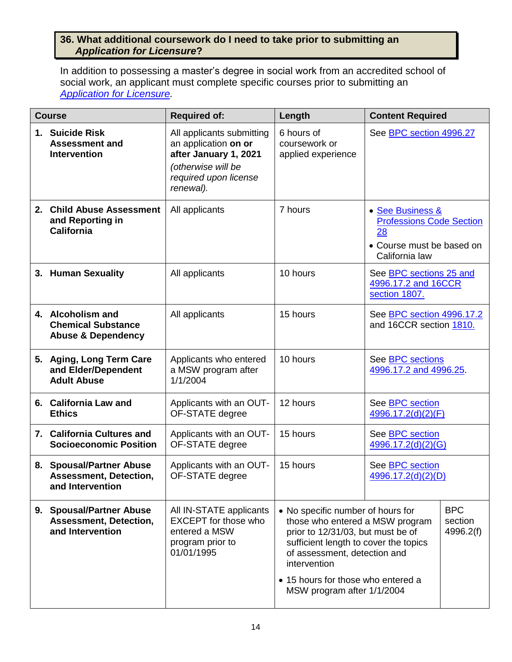# <span id="page-15-0"></span>**36. What additional coursework do I need to take prior to submitting an**  *Application for Licensure***?**

 In addition to possessing a master's degree in social work from an accredited school of social work, an applicant must complete specific courses prior to submitting an *[Application for Licensure.](https://www.bbs.ca.gov/applicants/lcsw.html)* 

| <b>Course</b> |                                                                                 | <b>Required of:</b>                                                                                                                    | Length                                                                                                                                                                                                                                                                 | <b>Content Required</b>                                                                                  |                                    |
|---------------|---------------------------------------------------------------------------------|----------------------------------------------------------------------------------------------------------------------------------------|------------------------------------------------------------------------------------------------------------------------------------------------------------------------------------------------------------------------------------------------------------------------|----------------------------------------------------------------------------------------------------------|------------------------------------|
| 1.            | <b>Suicide Risk</b><br><b>Assessment and</b><br><b>Intervention</b>             | All applicants submitting<br>an application on or<br>after January 1, 2021<br>(otherwise will be<br>required upon license<br>renewal). | 6 hours of<br>coursework or<br>applied experience                                                                                                                                                                                                                      | See BPC section 4996.27                                                                                  |                                    |
| 2.            | <b>Child Abuse Assessment</b><br>and Reporting in<br><b>California</b>          | All applicants                                                                                                                         | 7 hours                                                                                                                                                                                                                                                                | • See Business &<br><b>Professions Code Section</b><br>28<br>• Course must be based on<br>California law |                                    |
|               | 3. Human Sexuality                                                              | All applicants                                                                                                                         | 10 hours                                                                                                                                                                                                                                                               | See BPC sections 25 and<br>4996.17.2 and 16CCR<br>section 1807.                                          |                                    |
|               | 4. Alcoholism and<br><b>Chemical Substance</b><br><b>Abuse &amp; Dependency</b> | All applicants                                                                                                                         | 15 hours                                                                                                                                                                                                                                                               | See BPC section 4996.17.2<br>and 16CCR section 1810.                                                     |                                    |
|               | 5. Aging, Long Term Care<br>and Elder/Dependent<br><b>Adult Abuse</b>           | Applicants who entered<br>a MSW program after<br>1/1/2004                                                                              | 10 hours                                                                                                                                                                                                                                                               | See <b>BPC</b> sections<br>4996.17.2 and 4996.25                                                         |                                    |
|               | 6. California Law and<br><b>Ethics</b>                                          | Applicants with an OUT-<br>OF-STATE degree                                                                                             | 12 hours                                                                                                                                                                                                                                                               | See BPC section<br>4996.17.2(d)(2)(F)                                                                    |                                    |
|               | 7. California Cultures and<br><b>Socioeconomic Position</b>                     | Applicants with an OUT-<br>OF-STATE degree                                                                                             | 15 hours                                                                                                                                                                                                                                                               | See BPC section<br>4996.17.2(d)(2)(G)                                                                    |                                    |
|               | 8. Spousal/Partner Abuse<br><b>Assessment, Detection,</b><br>and Intervention   | Applicants with an OUT-<br>OF-STATE degree                                                                                             | 15 hours                                                                                                                                                                                                                                                               | See <b>BPC</b> section<br>4996.17.2(d)(2)(D)                                                             |                                    |
|               | 9. Spousal/Partner Abuse<br><b>Assessment, Detection,</b><br>and Intervention   | All IN-STATE applicants<br><b>EXCEPT</b> for those who<br>entered a MSW<br>program prior to<br>01/01/1995                              | • No specific number of hours for<br>those who entered a MSW program<br>prior to 12/31/03, but must be of<br>sufficient length to cover the topics<br>of assessment, detection and<br>intervention<br>• 15 hours for those who entered a<br>MSW program after 1/1/2004 |                                                                                                          | <b>BPC</b><br>section<br>4996.2(f) |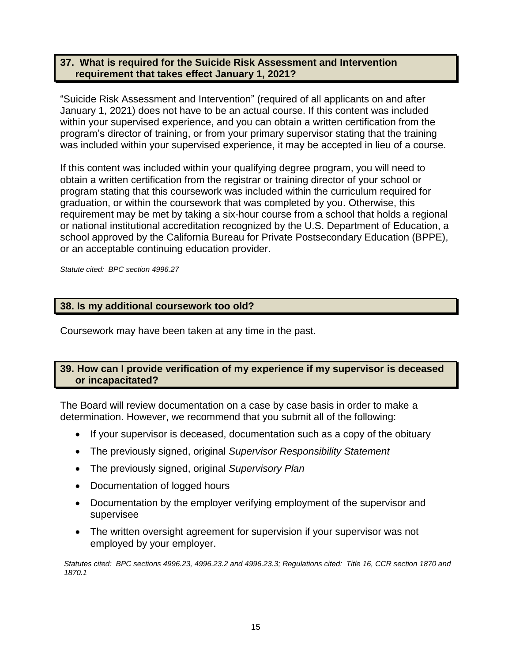## <span id="page-16-0"></span>**37. What is required for the Suicide Risk Assessment and Intervention requirement that takes effect January 1, 2021?**

 January 1, 2021) does not have to be an actual course. If this content was included within your supervised experience, and you can obtain a written certification from the "Suicide Risk Assessment and Intervention" (required of all applicants on and after program's director of training, or from your primary supervisor stating that the training was included within your supervised experience, it may be accepted in lieu of a course.

If this content was included within your qualifying degree program, you will need to obtain a written certification from the registrar or training director of your school or program stating that this coursework was included within the curriculum required for graduation, or within the coursework that was completed by you. Otherwise, this requirement may be met by taking a six-hour course from a school that holds a regional or national institutional accreditation recognized by the U.S. Department of Education, a school approved by the California Bureau for Private Postsecondary Education (BPPE), or an acceptable continuing education provider.

*Statute cited: BPC section 4996.27* 

#### <span id="page-16-1"></span>**38. Is my additional coursework too old?**

Coursework may have been taken at any time in the past.

## <span id="page-16-2"></span>**39. How can I provide verification of my experience if my supervisor is deceased or incapacitated?**

 The Board will review documentation on a case by case basis in order to make a determination. However, we recommend that you submit all of the following:

- If your supervisor is deceased, documentation such as a copy of the obituary
- The previously signed, original *Supervisor Responsibility Statement*
- The previously signed, original *Supervisory Plan*
- Documentation of logged hours
- Documentation by the employer verifying employment of the supervisor and supervisee
- The written oversight agreement for supervision if your supervisor was not employed by your employer.

 *Statutes cited: BPC sections 4996.23, 4996.23.2 and 4996.23.3; Regulations cited: Title 16, CCR section 1870 and 1870.1*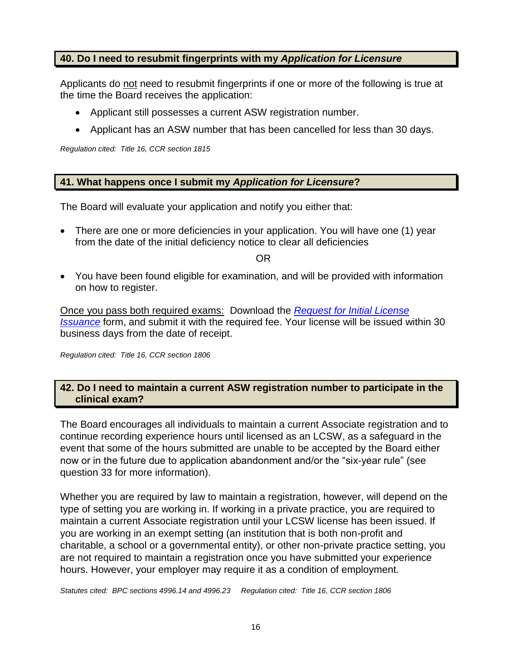# <span id="page-17-0"></span>**40. Do I need to resubmit fingerprints with my** *Application for Licensure*

Applicants do not need to resubmit fingerprints if one or more of the following is true at the time the Board receives the application:

- Applicant still possesses a current ASW registration number.
- Applicant has an ASW number that has been cancelled for less than 30 days.

*Regulation cited: Title 16, CCR section 1815* 

# <span id="page-17-1"></span> **41. What happens once I submit my** *Application for Licensure***?**

The Board will evaluate your application and notify you either that:

• There are one or more deficiencies in your application. You will have one (1) year from the date of the initial deficiency notice to clear all deficiencies

OR

 • You have been found eligible for examination, and will be provided with information on how to register.

 Once you pass both required exams: Download the *[Request for Initial License](https://www.bbs.ca.gov/pdf/forms/initial_lic_iss.pdf)  [Issuance](https://www.bbs.ca.gov/pdf/forms/initial_lic_iss.pdf)* form, and submit it with the required fee. Your license will be issued within 30 business days from the date of receipt.

*Regulation cited: Title 16, CCR section 1806* 

# <span id="page-17-2"></span>**42. Do I need to maintain a current ASW registration number to participate in the clinical exam?**

 continue recording experience hours until licensed as an LCSW, as a safeguard in the event that some of the hours submitted are unable to be accepted by the Board either now or in the future due to application abandonment and/or the "six-year rule" (see The Board encourages all individuals to maintain a current Associate registration and to question 33 for more information).

 you are working in an exempt setting (an institution that is both non-profit and Whether you are required by law to maintain a registration, however, will depend on the type of setting you are working in. If working in a private practice, you are required to maintain a current Associate registration until your LCSW license has been issued. If charitable, a school or a governmental entity), or other non-private practice setting, you are not required to maintain a registration once you have submitted your experience hours. However, your employer may require it as a condition of employment.

 *Statutes cited: BPC sections 4996.14 and 4996.23 Regulation cited: Title 16, CCR section 1806*